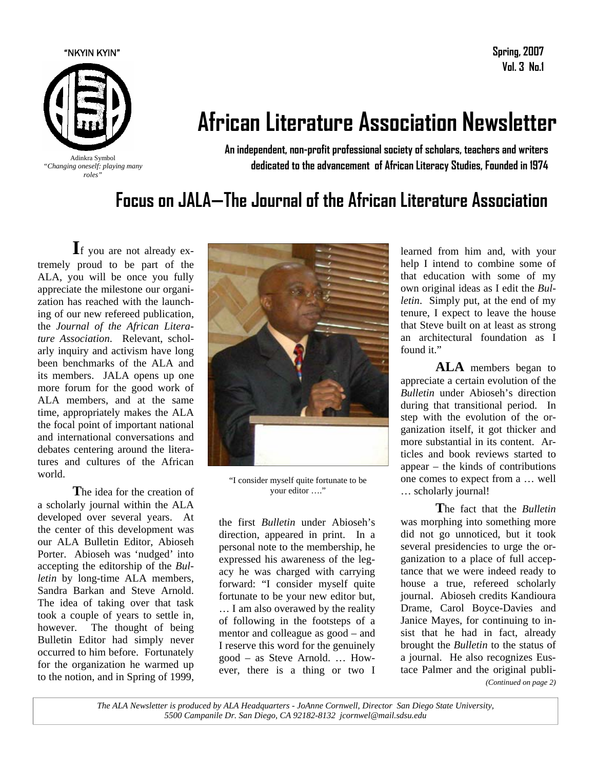

**Spring, 2007 Vol. 3 No.1** 

# **African Literature Association Newsletter**

**An independent, non-profit professional society of scholars, teachers and writers dedicated to the advancement of African Literacy Studies, Founded in 1974** 

## **Focus on JALA—The Journal of the African Literature Association**

**I**f you are not already extremely proud to be part of the ALA, you will be once you fully appreciate the milestone our organization has reached with the launching of our new refereed publication, the *Journal of the African Literature Association*. Relevant, scholarly inquiry and activism have long been benchmarks of the ALA and its members. JALA opens up one more forum for the good work of ALA members, and at the same time, appropriately makes the ALA the focal point of important national and international conversations and debates centering around the literatures and cultures of the African world.

**T**he idea for the creation of a scholarly journal within the ALA developed over several years. At the center of this development was our ALA Bulletin Editor, Abioseh Porter. Abioseh was 'nudged' into accepting the editorship of the *Bulletin* by long-time ALA members, Sandra Barkan and Steve Arnold. The idea of taking over that task took a couple of years to settle in, however. The thought of being Bulletin Editor had simply never occurred to him before. Fortunately for the organization he warmed up to the notion, and in Spring of 1999,



"I consider myself quite fortunate to be your editor …."

the first *Bulletin* under Abioseh's direction, appeared in print. In a personal note to the membership, he expressed his awareness of the legacy he was charged with carrying forward: "I consider myself quite fortunate to be your new editor but, … I am also overawed by the reality of following in the footsteps of a mentor and colleague as good – and I reserve this word for the genuinely good – as Steve Arnold. … However, there is a thing or two I learned from him and, with your help I intend to combine some of that education with some of my own original ideas as I edit the *Bulletin*. Simply put, at the end of my tenure, I expect to leave the house that Steve built on at least as strong an architectural foundation as I found it."

**ALA** members began to appreciate a certain evolution of the *Bulletin* under Abioseh's direction during that transitional period. In step with the evolution of the organization itself, it got thicker and more substantial in its content. Articles and book reviews started to appear – the kinds of contributions one comes to expect from a … well … scholarly journal!

**T**he fact that the *Bulletin* was morphing into something more did not go unnoticed, but it took several presidencies to urge the organization to a place of full acceptance that we were indeed ready to house a true, refereed scholarly journal. Abioseh credits Kandioura Drame, Carol Boyce-Davies and Janice Mayes, for continuing to insist that he had in fact, already brought the *Bulletin* to the status of a journal. He also recognizes Eustace Palmer and the original publi-

*(Continued on page 2)* 

*The ALA Newsletter is produced by ALA Headquarters - JoAnne Cornwell, Director San Diego State University, 5500 Campanile Dr. San Diego, CA 92182-8132 jcornwel@mail.sdsu.edu*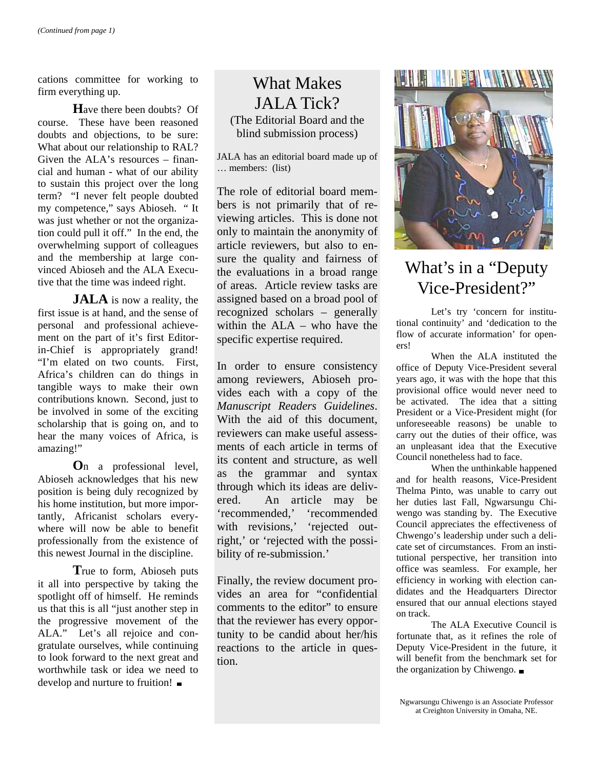cations committee for working to firm everything up.

**H**ave there been doubts? Of course. These have been reasoned doubts and objections, to be sure: What about our relationship to RAL? Given the ALA's resources – financial and human - what of our ability to sustain this project over the long term? "I never felt people doubted my competence," says Abioseh. " It was just whether or not the organization could pull it off." In the end, the overwhelming support of colleagues and the membership at large convinced Abioseh and the ALA Executive that the time was indeed right.

**JALA** is now a reality, the first issue is at hand, and the sense of personal and professional achievement on the part of it's first Editorin-Chief is appropriately grand! "I'm elated on two counts. First, Africa's children can do things in tangible ways to make their own contributions known. Second, just to be involved in some of the exciting scholarship that is going on, and to hear the many voices of Africa, is amazing!"

**O**n a professional level, Abioseh acknowledges that his new position is being duly recognized by his home institution, but more importantly, Africanist scholars everywhere will now be able to benefit professionally from the existence of this newest Journal in the discipline.

**T**rue to form, Abioseh puts it all into perspective by taking the spotlight off of himself. He reminds us that this is all "just another step in the progressive movement of the ALA." Let's all rejoice and congratulate ourselves, while continuing to look forward to the next great and worthwhile task or idea we need to develop and nurture to fruition!

## What Makes JALA Tick? (The Editorial Board and the blind submission process)

JALA has an editorial board made up of … members: (list)

The role of editorial board members is not primarily that of reviewing articles. This is done not only to maintain the anonymity of article reviewers, but also to ensure the quality and fairness of the evaluations in a broad range of areas. Article review tasks are assigned based on a broad pool of recognized scholars – generally within the ALA – who have the specific expertise required.

In order to ensure consistency among reviewers, Abioseh provides each with a copy of the *Manuscript Readers Guidelines*. With the aid of this document, reviewers can make useful assessments of each article in terms of its content and structure, as well as the grammar and syntax through which its ideas are delivered. An article may be 'recommended,' 'recommended with revisions,' 'rejected outright,' or 'rejected with the possibility of re-submission.'

Finally, the review document provides an area for "confidential comments to the editor" to ensure that the reviewer has every opportunity to be candid about her/his reactions to the article in question.



## What's in a "Deputy Vice-President?"

 Let's try 'concern for institutional continuity' and 'dedication to the flow of accurate information' for openers!

 When the ALA instituted the office of Deputy Vice-President several years ago, it was with the hope that this provisional office would never need to be activated. The idea that a sitting President or a Vice-President might (for unforeseeable reasons) be unable to carry out the duties of their office, was an unpleasant idea that the Executive Council nonetheless had to face.

 When the unthinkable happened and for health reasons, Vice-President Thelma Pinto, was unable to carry out her duties last Fall, Ngwarsungu Chiwengo was standing by. The Executive Council appreciates the effectiveness of Chwengo's leadership under such a delicate set of circumstances. From an institutional perspective, her transition into office was seamless. For example, her efficiency in working with election candidates and the Headquarters Director ensured that our annual elections stayed on track.

 The ALA Executive Council is fortunate that, as it refines the role of Deputy Vice-President in the future, it will benefit from the benchmark set for the organization by Chiwengo.  $\blacksquare$ 

Ngwarsungu Chiwengo is an Associate Professor at Creighton University in Omaha, NE.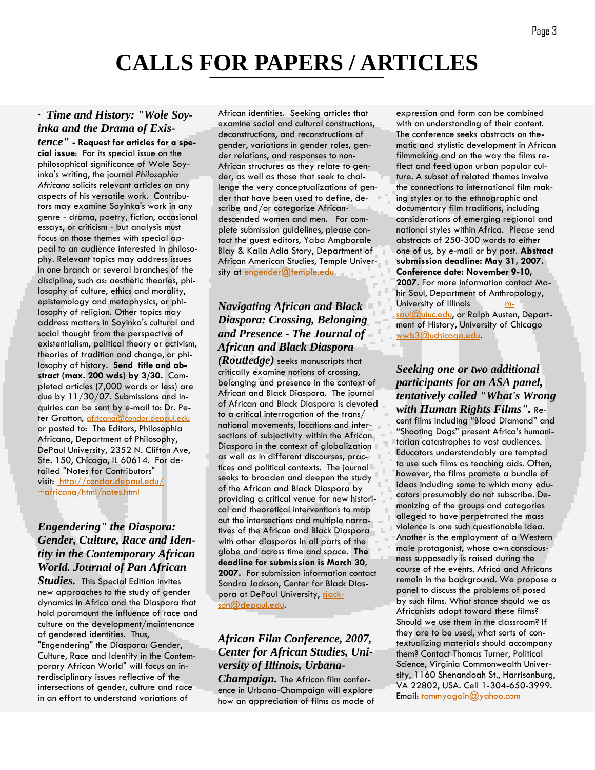## *· Time and History: "Wole Soyinka and the Drama of Exis-*

*tence"* **- Request for articles for a special issue**: For its special issue on the philosophical significance of Wole Soyinka's writing, the journal *Philosophia Africana* solicits relevant articles on any aspects of his versatile work. Contributors may examine Soyinka's work in any genre - drama, poetry, fiction, occasional essays, or criticism - but analysis must focus on those themes with special appeal to an audience interested in philosophy. Relevant topics may address issues in one branch or several branches of the discipline, such as: aesthetic theories, philosophy of culture, ethics and morality, epistemology and metaphysics, or philosophy of religion. Other topics may address matters in Soyinka's cultural and social thought from the perspective of existentialism, political theory or activism, theories of tradition and change, or philosophy of history. **Send title and abstract (max. 200 wds) by 3/30.** Completed articles (7,000 words or less) are due by 11/30/07. Submissions and inquiries can be sent by e-mail to: Dr. Peter Gratton, africana@condor.depaul.edu or posted to: The Editors, Philosophia Africana, Department of Philosophy, DePaul University, 2352 N. Clifton Ave, Ste. 150, Chicago, IL 60614. For detailed "Notes for Contributors" visit: http://condor.depaul.edu/ ~africana/html/notes.html

### *Engendering" the Diaspora: Gender, Culture, Race and Identity in the Contemporary African World. Journal of Pan African*

*Studies.* This Special Edition invites new approaches to the study of gender dynamics in Africa and the Diaspora that hold paramount the influence of race and culture on the development/maintenance of gendered identities. Thus, "Engendering" the Diaspora: Gender, Culture, Race and Identity in the Contemporary African World" will focus on interdisciplinary issues reflective of the intersections of gender, culture and race in an effort to understand variations of

African identities. Seeking articles that examine social and cultural constructions, deconstructions, and reconstructions of gender, variations in gender roles, gender relations, and responses to non-African structures as they relate to gender, as well as those that seek to challenge the very conceptualizations of gender that have been used to define, describe and/or categorize Africandescended women and men. For complete submission guidelines, please contact the guest editors, Yaba Amgborale Blay & Kaila Adia Story, Department of African American Studies, Temple University at engender@temple.edu

### *Navigating African and Black Diaspora: Crossing, Belonging and Presence - The Journal of African and Black Diaspora*

*(Routledge)* seeks manuscripts that critically examine notions of crossing, belonging and presence in the context of African and Black Diaspora. The journal of African and Black Diaspora is devoted to a critical interrogation of the trans/ national movements, locations and intersections of subjectivity within the African Diaspora in the context of globalization as well as in different discourses, practices and political contexts. The journal seeks to broaden and deepen the study of the African and Black Diaspora by providing a critical venue for new historical and theoretical interventions to map out the intersections and multiple narratives of the African and Black Diaspora with other diasporas in all parts of the globe and across time and space. **The deadline for submission is March 30, 2007.** For submission information contact Sandra Jackson, Center for Black Diaspora at DePaul University, siackson@depaul.edu.

## *African Film Conference, 2007, Center for African Studies, University of Illinois, Urbana-*

*Champaign.* The African film conference in Urbana-Champaign will explore how an appreciation of films as mode of

expression and form can be combined with an understanding of their content. The conference seeks abstracts on thematic and stylistic development in African filmmaking and on the way the films reflect and feed upon urban popular culture. A subset of related themes involve the connections to international film making styles or to the ethnographic and documentary film traditions, including considerations of emerging regional and national styles within Africa. Please send abstracts of 250-300 words to either one of us, by e-mail or by post. **Abstract submission deadline: May 31, 2007. Conference date: November 9-10, 2007.** For more information contact Mahir Saul, Department of Anthropology, University of Illinois **m**saul@uiuc.edu, or Ralph Austen, Department of History, University of Chicago wwb3@uchicago.edu.

*Seeking one or two additional participants for an ASA panel, tentatively called "What's Wrong with Human Rights Films".* Recent films including "Blood Diamond" and "Shooting Dogs" present Africa's humanitarian catastrophes to vast audiences. Educators understandably are tempted to use such films as teaching aids. Often, however, the films promote a bundle of ideas including some to which many educators presumably do not subscribe. Demonizing of the groups and categories alleged to have perpetrated the mass violence is one such questionable idea. Another is the employment of a Western male protagonist, whose own consciousness supposedly is raised during the course of the events. Africa and Africans remain in the background. We propose a panel to discuss the problems of posed by such films. What stance should we as Africanists adopt toward these films? Should we use them in the classroom? If they are to be used, what sorts of contextualizing materials should accompany them? Contact Thomas Turner, Political Science, Virginia Commonwealth University, 1160 Shenandoah St., Harrisonburg, VA 22802, USA. Cell 1-304-650-3999. Email: tommyagain@yahoo.com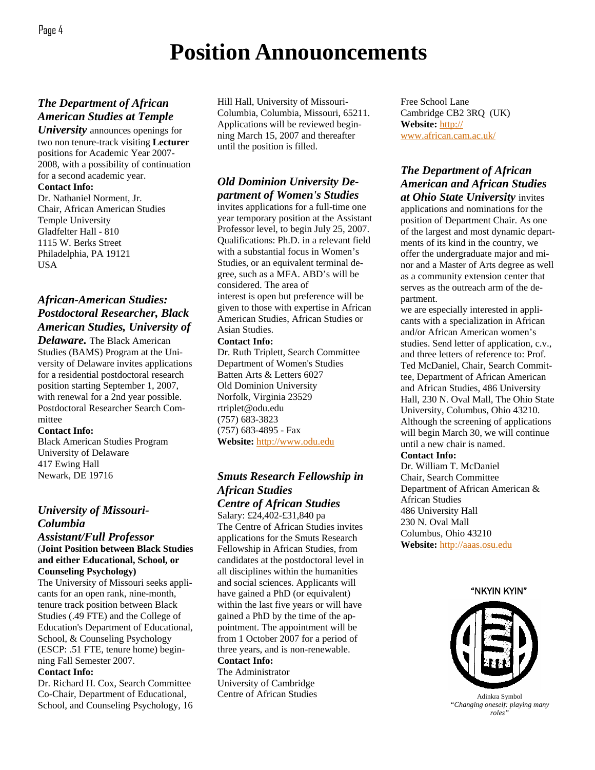## **Position Annouoncements**

### *The Department of African American Studies at Temple*

*University* announces openings for two non tenure-track visiting **Lecturer** positions for Academic Year 2007- 2008, with a possibility of continuation for a second academic year.

**Contact Info:** 

Dr. Nathaniel Norment, Jr. Chair, African American Studies Temple University Gladfelter Hall - 810 1115 W. Berks Street Philadelphia, PA 19121 USA

### *African-American Studies: Postdoctoral Researcher, Black American Studies, University of*

*Delaware.* The Black American Studies (BAMS) Program at the University of Delaware invites applications for a residential postdoctoral research position starting September 1, 2007, with renewal for a 2nd year possible. Postdoctoral Researcher Search Committee

#### **Contact Info:**

Black American Studies Program University of Delaware 417 Ewing Hall Newark, DE 19716

## *University of Missouri-Columbia*

#### *Assistant/Full Professor* (**Joint Position between Black Studies and either Educational, School, or Counseling Psychology)**

The University of Missouri seeks applicants for an open rank, nine-month, tenure track position between Black Studies (.49 FTE) and the College of Education's Department of Educational, School, & Counseling Psychology (ESCP: .51 FTE, tenure home) beginning Fall Semester 2007.

#### **Contact Info:**

Dr. Richard H. Cox, Search Committee Co-Chair, Department of Educational, School, and Counseling Psychology, 16 Hill Hall, University of Missouri-Columbia, Columbia, Missouri, 65211. Applications will be reviewed beginning March 15, 2007 and thereafter until the position is filled.

## *Old Dominion University Department of Women's Studies*

invites applications for a full-time one year temporary position at the Assistant Professor level, to begin July 25, 2007. Qualifications: Ph.D. in a relevant field with a substantial focus in Women's Studies, or an equivalent terminal degree, such as a MFA. ABD's will be considered. The area of interest is open but preference will be given to those with expertise in African American Studies, African Studies or Asian Studies.

#### **Contact Info:**

Dr. Ruth Triplett, Search Committee Department of Women's Studies Batten Arts & Letters 6027 Old Dominion University Norfolk, Virginia 23529 rtriplet@odu.edu (757) 683-3823 (757) 683-4895 - Fax **Website:** http://www.odu.edu

## *Smuts Research Fellowship in African Studies*

*Centre of African Studies*

Salary: £24,402-£31,840 pa The Centre of African Studies invites applications for the Smuts Research Fellowship in African Studies, from candidates at the postdoctoral level in all disciplines within the humanities and social sciences. Applicants will have gained a PhD (or equivalent) within the last five years or will have gained a PhD by the time of the appointment. The appointment will be from 1 October 2007 for a period of three years, and is non-renewable. **Contact Info:** 

The Administrator University of Cambridge Centre of African Studies Free School Lane Cambridge CB2 3RQ (UK) **Website:** http:// www.african.cam.ac.uk/

## *The Department of African American and African Studies*

*at Ohio State University* invites applications and nominations for the position of Department Chair. As one of the largest and most dynamic departments of its kind in the country, we offer the undergraduate major and minor and a Master of Arts degree as well as a community extension center that serves as the outreach arm of the department.

we are especially interested in applicants with a specialization in African and/or African American women's studies. Send letter of application, c.v., and three letters of reference to: Prof. Ted McDaniel, Chair, Search Committee, Department of African American and African Studies, 486 University Hall, 230 N. Oval Mall, The Ohio State University, Columbus, Ohio 43210. Although the screening of applications will begin March 30, we will continue until a new chair is named.

#### **Contact Info:**

Dr. William T. McDaniel Chair, Search Committee Department of African American & African Studies 486 University Hall 230 N. Oval Mall Columbus, Ohio 43210 **Website:** http://aaas.osu.edu

"NKYIN KYIN"



Adinkra Symbol *"Changing oneself: playing many*   $roles$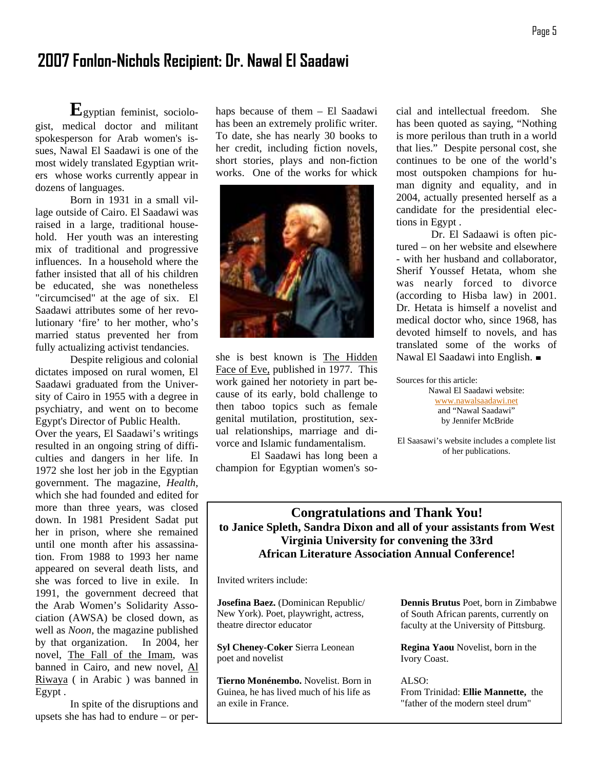## **2007 Fonlon-Nichols Recipient: Dr. Nawal El Saadawi**

 **E**gyptian feminist, sociologist, medical doctor and militant spokesperson for Arab women's issues, Nawal El Saadawi is one of the most widely translated Egyptian writers whose works currently appear in dozens of languages.

 Born in 1931 in a small village outside of Cairo. El Saadawi was raised in a large, traditional household. Her youth was an interesting mix of traditional and progressive influences. In a household where the father insisted that all of his children be educated, she was nonetheless "circumcised" at the age of six. El Saadawi attributes some of her revolutionary 'fire' to her mother, who's married status prevented her from fully actualizing activist tendancies.

 Despite religious and colonial dictates imposed on rural women, El Saadawi graduated from the University of Cairo in 1955 with a degree in psychiatry, and went on to become Egypt's Director of Public Health.

Over the years, El Saadawi's writings resulted in an ongoing string of difficulties and dangers in her life. In 1972 she lost her job in the Egyptian government. The magazine, *Health*, which she had founded and edited for more than three years, was closed down. In 1981 President Sadat put her in prison, where she remained until one month after his assassination. From 1988 to 1993 her name appeared on several death lists, and she was forced to live in exile. In 1991, the government decreed that the Arab Women's Solidarity Association (AWSA) be closed down, as well as *Noon,* the magazine published by that organization. In 2004, her novel, The Fall of the Imam, was banned in Cairo, and new novel, Al Riwaya ( in Arabic ) was banned in Egypt .

 In spite of the disruptions and upsets she has had to endure – or per-

haps because of them – El Saadawi has been an extremely prolific writer. To date, she has nearly 30 books to her credit, including fiction novels, short stories, plays and non-fiction works. One of the works for whick



she is best known is The Hidden Face of Eve, published in 1977. This work gained her notoriety in part because of its early, bold challenge to then taboo topics such as female genital mutilation, prostitution, sexual relationships, marriage and divorce and Islamic fundamentalism.

 El Saadawi has long been a champion for Egyptian women's social and intellectual freedom. She has been quoted as saying, "Nothing is more perilous than truth in a world that lies." Despite personal cost, she continues to be one of the world's most outspoken champions for human dignity and equality, and in 2004, actually presented herself as a candidate for the presidential elections in Egypt .

 Dr. El Sadaawi is often pictured – on her website and elsewhere - with her husband and collaborator, Sherif Youssef Hetata, whom she was nearly forced to divorce (according to Hisba law) in 2001. Dr. Hetata is himself a novelist and medical doctor who, since 1968, has devoted himself to novels, and has translated some of the works of Nawal El Saadawi into English.

Sources for this article:

Nawal El Saadawi website: www.nawalsaadawi.net and "Nawal Saadawi" by Jennifer McBride

El Saasawi's website includes a complete list of her publications.

## **Congratulations and Thank You! to Janice Spleth, Sandra Dixon and all of your assistants from West Virginia University for convening the 33rd African Literature Association Annual Conference!**

Invited writers include:

**Josefina Baez.** (Dominican Republic/ New York). Poet, playwright, actress, theatre director educator

**Syl Cheney-Coker** Sierra Leonean poet and novelist

**Tierno Monénembo.** Novelist. Born in Guinea, he has lived much of his life as an exile in France.

**Dennis Brutus** Poet, born in Zimbabwe of South African parents, currently on faculty at the University of Pittsburg.

**Regina Yaou** Novelist, born in the Ivory Coast.

ALSO: From Trinidad: **Ellie Mannette,** the "father of the modern steel drum"